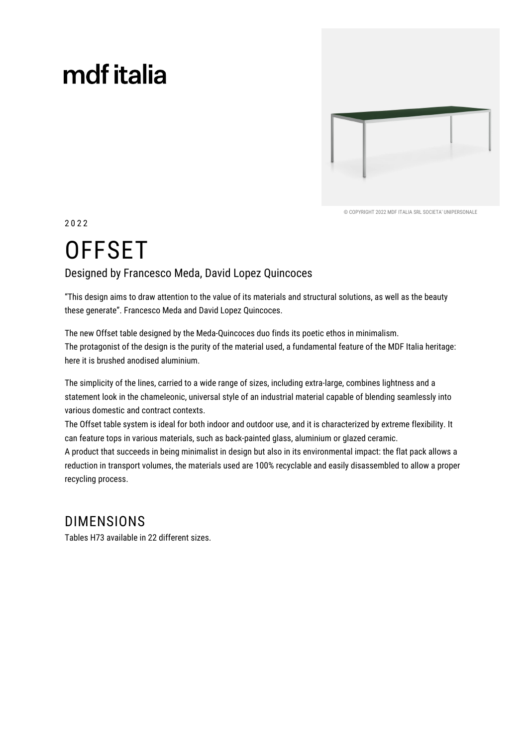# mdf italia



© COPYRIGHT 2022 MDE ITALIA SRL SOCIETA' UNIPERSONALE

2022

# **OFFSET**

#### Designed by Francesco Meda, David Lopez Quincoces

"This design aims to draw attention to the value of its materials and structural solutions, as well as the beauty these generate". Francesco Meda and David Lopez Quincoces.

The new Offset table designed by the Meda-Quincoces duo finds its poetic ethos in minimalism. The protagonist of the design is the purity of the material used, a fundamental feature of the MDF Italia heritage: here it is brushed anodised aluminium.

The simplicity of the lines, carried to a wide range of sizes, including extra-large, combines lightness and a statement look in the chameleonic, universal style of an industrial material capable of blending seamlessly into various domestic and contract contexts.

The Offset table system is ideal for both indoor and outdoor use, and it is characterized by extreme flexibility. It can feature tops in various materials, such as back-painted glass, aluminium or glazed ceramic.

A product that succeeds in being minimalist in design but also in its environmental impact: the flat pack allows a reduction in transport volumes, the materials used are 100% recyclable and easily disassembled to allow a proper recycling process.

### **DIMENSIONS**

Tables H73 available in 22 different sizes.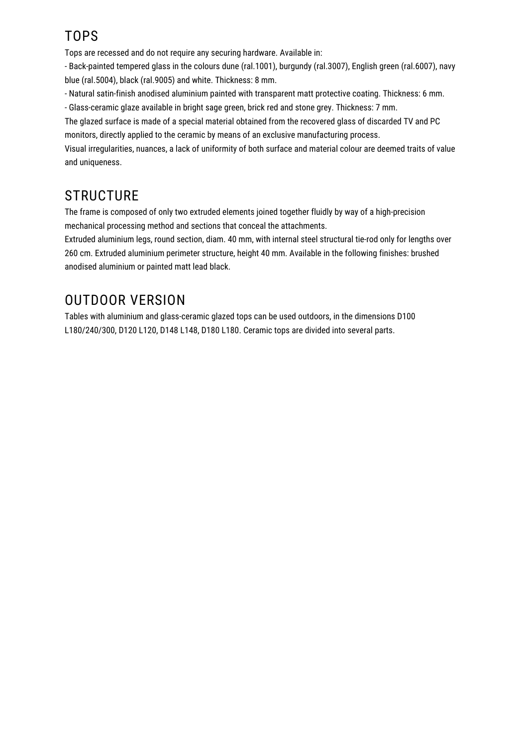## **TOPS**

Tops are recessed and do not require any securing hardware. Available in:

- Back-painted tempered glass in the colours dune (ral.1001), burgundy (ral.3007), English green (ral.6007), navy blue (ral.5004), black (ral.9005) and white. Thickness: 8 mm.

- Natural satin-finish anodised aluminium painted with transparent matt protective coating. Thickness: 6 mm.

- Glass-ceramic glaze available in bright sage green, brick red and stone grey. Thickness: 7 mm.

The glazed surface is made of a special material obtained from the recovered glass of discarded TV and PC monitors, directly applied to the ceramic by means of an exclusive manufacturing process.

Visual irregularities, nuances, a lack of uniformity of both surface and material colour are deemed traits of value and uniqueness.

## **STRUCTURE**

The frame is composed of only two extruded elements joined together fluidly by way of a high-precision mechanical processing method and sections that conceal the attachments.

Extruded aluminium legs, round section, diam. 40 mm, with internal steel structural tie-rod only for lengths over 260 cm. Extruded aluminium perimeter structure, height 40 mm. Available in the following finishes: brushed anodised aluminium or painted matt lead black.

## **OUTDOOR VERSION**

Tables with aluminium and glass-ceramic glazed tops can be used outdoors, in the dimensions D100 L180/240/300, D120 L120, D148 L148, D180 L180. Ceramic tops are divided into several parts.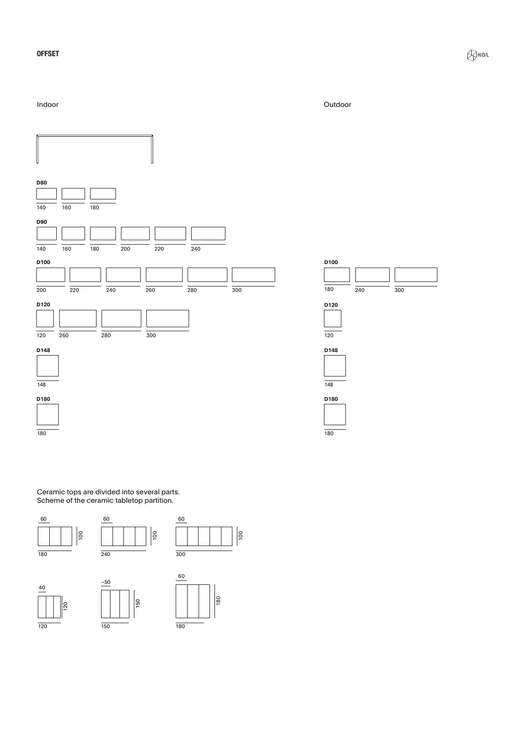#### **OFFSET**

Indoor

#### Outdoor



Ceramic tops are divided into several parts.<br>Scheme of the ceramic tabletop partition.

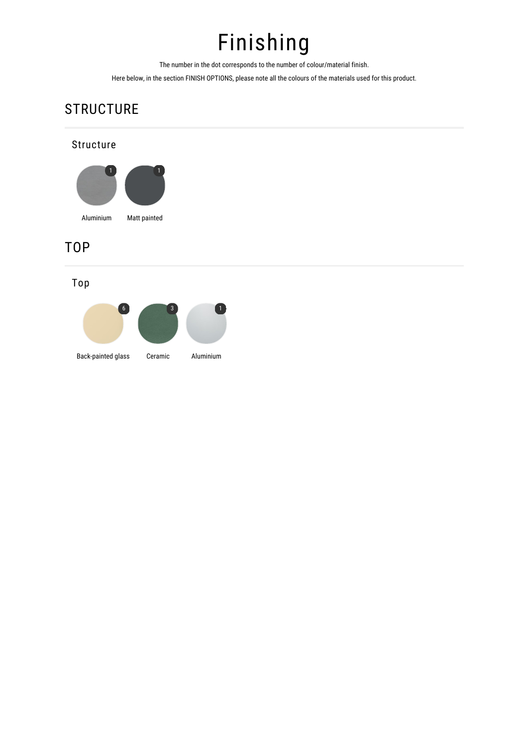## Finishing

The number in the dot corresponds to the number of colour/material finish.

Here below, in the section FINISH OPTIONS, please note all the colours of the materials used for this product.

## **STRUCTURE**

#### **Structure**



#### **TOP**

Top

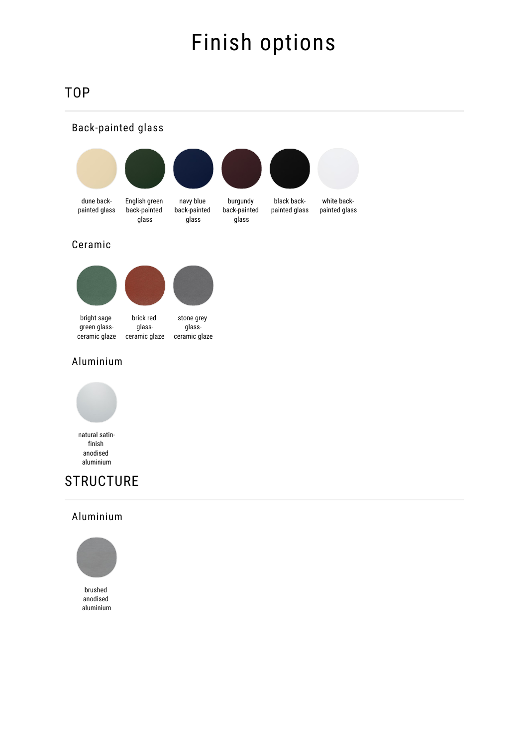## Finish options

### **TOP**





#### Aluminium



finish anodised aluminium

### **STRUCTURE**

#### Aluminium



anodised aluminium